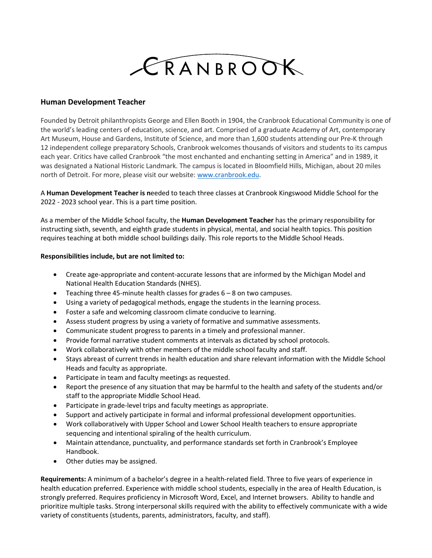

## **Human Development Teacher**

Founded by Detroit philanthropists George and Ellen Booth in 1904, the Cranbrook Educational Community is one of the world's leading centers of education, science, and art. Comprised of a graduate Academy of Art, contemporary Art Museum, House and Gardens, Institute of Science, and more than 1,600 students attending our Pre-K through 12 independent college preparatory Schools, Cranbrook welcomes thousands of visitors and students to its campus each year. Critics have called Cranbrook "the most enchanted and enchanting setting in America" and in 1989, it was designated a National Historic Landmark. The campus is located in Bloomfield Hills, Michigan, about 20 miles north of Detroit. For more, please visit our website[: www.cranbrook.edu.](http://www.cranbrook.edu/)

A **Human Development Teacher is n**eeded to teach three classes at Cranbrook Kingswood Middle School for the 2022 - 2023 school year. This is a part time position.

As a member of the Middle School faculty, the **Human Development Teacher** has the primary responsibility for instructing sixth, seventh, and eighth grade students in physical, mental, and social health topics. This position requires teaching at both middle school buildings daily. This role reports to the Middle School Heads.

## **Responsibilities include, but are not limited to:**

- Create age-appropriate and content-accurate lessons that are informed by the Michigan Model and National Health Education Standards (NHES).
- Teaching three 45-minute health classes for grades 6 8 on two campuses.
- Using a variety of pedagogical methods, engage the students in the learning process.
- Foster a safe and welcoming classroom climate conducive to learning.
- Assess student progress by using a variety of formative and summative assessments.
- Communicate student progress to parents in a timely and professional manner.
- Provide formal narrative student comments at intervals as dictated by school protocols.
- Work collaboratively with other members of the middle school faculty and staff.
- Stays abreast of current trends in health education and share relevant information with the Middle School Heads and faculty as appropriate.
- Participate in team and faculty meetings as requested.
- Report the presence of any situation that may be harmful to the health and safety of the students and/or staff to the appropriate Middle School Head.
- Participate in grade-level trips and faculty meetings as appropriate.
- Support and actively participate in formal and informal professional development opportunities.
- Work collaboratively with Upper School and Lower School Health teachers to ensure appropriate sequencing and intentional spiraling of the health curriculum.
- Maintain attendance, punctuality, and performance standards set forth in Cranbrook's Employee Handbook.
- Other duties may be assigned.

**Requirements:** A minimum of a bachelor's degree in a health-related field. Three to five years of experience in health education preferred. Experience with middle school students, especially in the area of Health Education, is strongly preferred. Requires proficiency in Microsoft Word, Excel, and Internet browsers. Ability to handle and prioritize multiple tasks. Strong interpersonal skills required with the ability to effectively communicate with a wide variety of constituents (students, parents, administrators, faculty, and staff).